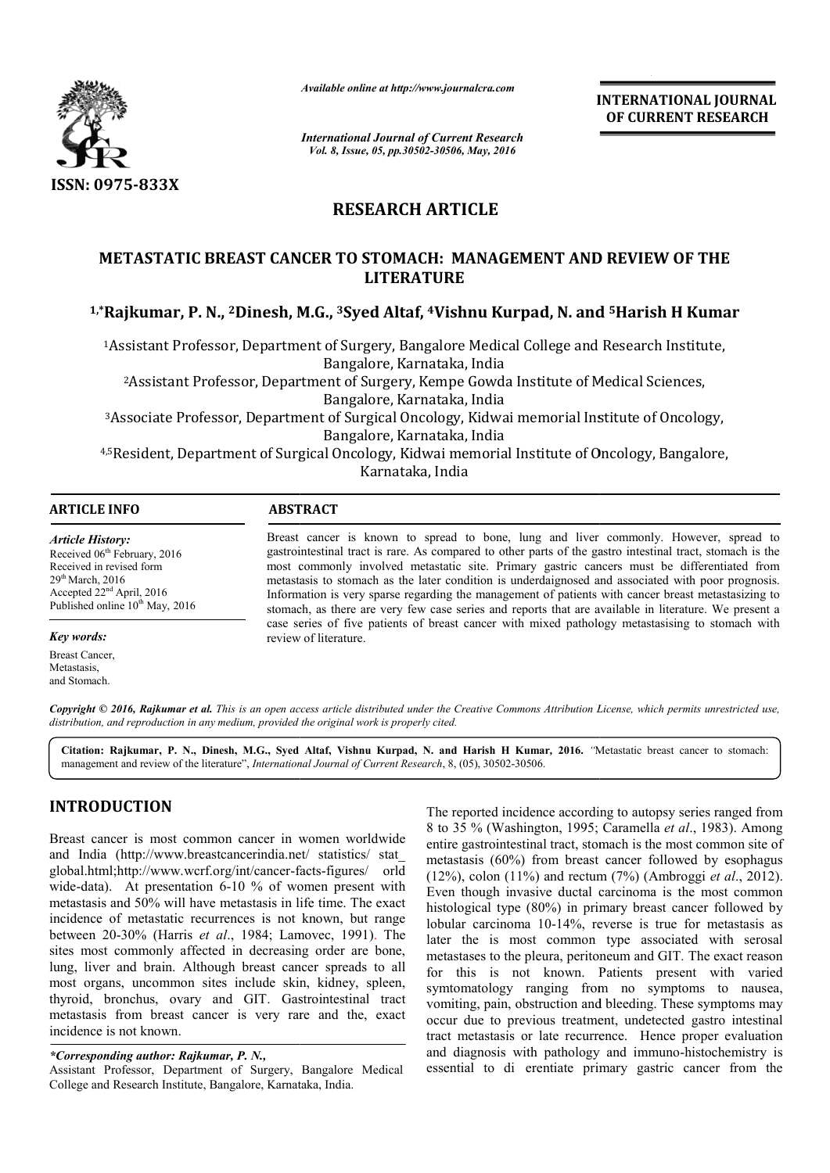

*Available online at http://www.journalcra.com*

**INTERNATIONAL JOURNAL OF CURRENT RESEARCH** 

*International Journal of Current Research Vol. 8, Issue, 05, pp.30502-30506, May, 2016*

# **RESEARCH ARTICLE**

# **METASTATIC BREAST CANCER TO STOMACH: MANAGEMENT AND REVIEW OF THE**  METASTATIC BREAST CANCER TO STOMACH: MANAGEMENT AND REVIEW OF THE<br>LITERATURE<br><sup>1,\*</sup>Rajkumar, P. N., <sup>2</sup>Dinesh, M.G., <sup>3</sup>Syed Altaf, <sup>4</sup>Vishnu Kurpad, N. and <sup>5</sup>Harish H Kumar **LITERATURE**

<sup>1</sup>Assistant Professor, Department of Surgery, Bangalore Medical College and Research Institute,<br>Bangalore, Karnataka, India 2Assistant Professor, Department of Surgery, Kempe Gowda Institute of Medical Sciences, Assistant Bangalore, Karnataka, India 3Associate Professor, Department of Surgical Oncology, Kidwai memorial Institute of Oncology, Associate Bangalore, Karnataka, India <sup>2</sup>Assistant Professor, Department of Surgery, Kempe Gowda Institute of Medical Sciences,<br>Bangalore, Karnataka, India<br>Associate Professor, Department of Surgical Oncology, Kidwai memorial Institute of Oncology,

4,5Resident, Department of Surgical Oncology, Kidwai memorial Institute of Oncology, Bangalore, Resident, Karnataka, India Resident, of

 $\overline{a}$ 

#### **ARTICLE INFO ABSTRACT**

*Article History:* Received 06<sup>th</sup> February, 2016 Received in revised form  $29<sup>th</sup>$  March, 2016 Accepted 22<sup>nd</sup> April, 2016 Published online  $10^{th}$  May, 2016

#### *Key words:*

Breast Cancer, Metastasis, and Stomach.

Breast cancer is known to spread to bone, lung and liver commonly. However, spread to gastrointestinal tract is rare. As compared to other parts of the gastro intestinal tract, stomach is the most commonly involved metastatic site. Primary gastric cancers must be differentiated from metastasis to stomach as the later condition is underdaignosed and associated with poor prognosis. Information is very sparse regarding the management of patients with cancer breast metastasizing to stomach, as there are very few case series and reports that are available in literature. We present a case series of five patients of breast cancer with mixed pathology metastasising to stomach with review of literature. Breast cancer is known to spread to bone, lung and liver commonly. However, spread to gastrointestinal tract is rare. As compared to other parts of the gastro intestinal tract, stomach is the most commonly involved metasta metastasis to stomach as the later condition is underdaignosed and associated with poor prognosi<br>Information is very sparse regarding the management of patients with cancer breast metastasizing t<br>stomach, as there are very

Copyright © 2016, Rajkumar et al. This is an open access article distributed under the Creative Commons Attribution License, which permits unrestricted use, *distribution, and reproduction in any medium, provided the original work is properly cited.*

Citation: Rajkumar, P. N., Dinesh, M.G., Syed Altaf, Vishnu Kurpad, N. and Harish H Kumar, 2016. "Metastatic breast cancer to stomach: management and review of the literature", *International Journal of Current Research* , 8, (05), 30502-30506.

## **INTRODUCTION**

Breast cancer is most common cancer in women worldwide and India (http://www.breastcancerindia.net/ statistics/ stat\_ and India (http://www.breastcancerindia.net/ statistics/ stat\_<br>global.html;http://www.wcrf.org/int/cancer-facts-figures/ orld wide-data). At presentation  $6-10\%$  of women present with metastasis and 50% will have metastasis in life time. The exact incidence of metastatic recurrences is not known, but range between 20-30% (Harris *et al.*, 1984; Lamovec, 1991). The sites most commonly affected in decreasing order are bone, lung, liver and brain. Although breast cancer spreads to all most organs, uncommon sites include skin, kidney, spleen, thyroid, bronchus, ovary and GIT. Gastrointestinal tract metastasis from breast cancer is very rare and the, exact incidence is not known. reast cancer is very rare and the<br>win.<br>*or: Rajkumar, P. N.***,**<br>Department of Surgery, Bangalore<br>Institute, Bangalore, Karnataka, India.

The reported incidence according to autopsy series ranged from 8 to 35 % (Washington, 1995; Caramella et al., 1983). Among entire gastrointestinal tract, stomach is the most common site of metastasis (60%) from breast cancer followed by esophagus entire gastrointestinal tract, stomach is the most common site of metastasis (60%) from breast cancer followed by esophagus (12%), colon (11%) and rectum (7%) (Ambroggi *et al.*, 2012). Even though invasive ductal carcinoma is the most common Even though invasive ductal carcinoma is the most common histological type (80%) in primary breast cancer followed by lobular carcinoma 10-14%, reverse is true for metastasis as lobular carcinoma 10-14%, reverse is true for metastasis as later the is most common type associated with serosal metastases to the pleura, peritoneum and GIT. The exact reason for this is not known. Patients present with varied symtomatology ranging from no symptoms to nausea, vomiting, pain, obstruction and bleeding. These symptoms may occur due to previous treatment, undetected gastro intestinal tract metastasis or late recurrence. Hence proper evaluation and diagnosis with pathology and immuno-histochemistry is essential to di erentiate primary gastric cancer from the this is not known. Patients present with varied comatology ranging from no symptoms to nausea, iting, pain, obstruction and bleeding. These symptoms may r due to previous treatment, undetected gastro intestinal metastasis

*<sup>\*</sup>Corresponding author: Rajkumar, P. N.,* 

Assistant Professor, Department of Surgery, Bangalore Medical College and Research Institute, Bangalore, Karnataka, India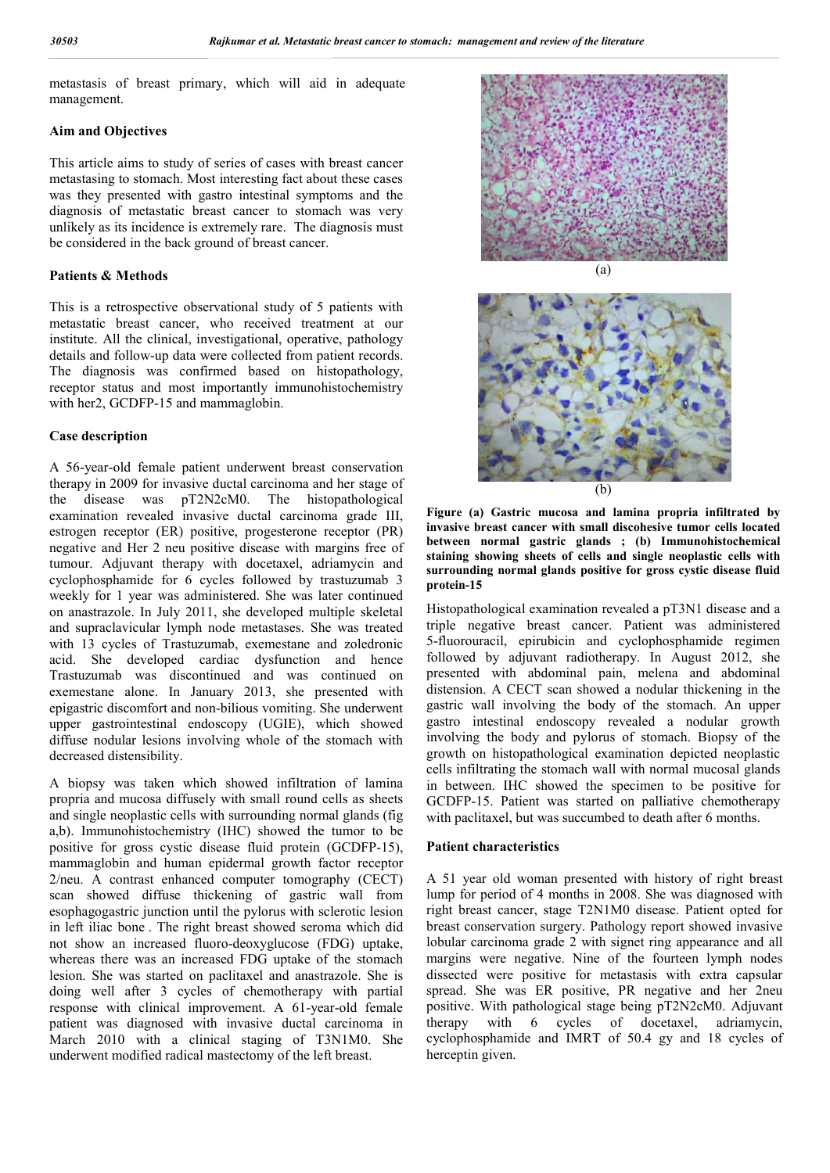metastasis of breast primary, which will aid in adequate management.

#### **Aim and Objectives**

This article aims to study of series of cases with breast cancer metastasing to stomach. Most interesting fact about these cases was they presented with gastro intestinal symptoms and the diagnosis of metastatic breast cancer to stomach was very unlikely as its incidence is extremely rare. The diagnosis must be considered in the back ground of breast cancer.

#### **Patients & Methods**

This is a retrospective observational study of 5 patients with metastatic breast cancer, who received treatment at our institute. All the clinical, investigational, operative, pathology details and follow-up data were collected from patient records. The diagnosis was confirmed based on histopathology, receptor status and most importantly immunohistochemistry with her2, GCDFP-15 and mammaglobin.

#### **Case description**

A 56-year-old female patient underwent breast conservation therapy in 2009 for invasive ductal carcinoma and her stage of the disease was pT2N2cM0. The histopathological examination revealed invasive ductal carcinoma grade III, estrogen receptor (ER) positive, progesterone receptor (PR) negative and Her 2 neu positive disease with margins free of tumour. Adjuvant therapy with docetaxel, adriamycin and cyclophosphamide for 6 cycles followed by trastuzumab 3 weekly for 1 year was administered. She was later continued on anastrazole. In July 2011, she developed multiple skeletal and supraclavicular lymph node metastases. She was treated with 13 cycles of Trastuzumab, exemestane and zoledronic acid. She developed cardiac dysfunction and hence Trastuzumab was discontinued and was continued on exemestane alone. In January 2013, she presented with epigastric discomfort and non-bilious vomiting. She underwent upper gastrointestinal endoscopy (UGIE), which showed diffuse nodular lesions involving whole of the stomach with decreased distensibility.

A biopsy was taken which showed infiltration of lamina propria and mucosa diffusely with small round cells as sheets and single neoplastic cells with surrounding normal glands (fig a,b). Immunohistochemistry (IHC) showed the tumor to be positive for gross cystic disease fluid protein (GCDFP-15), mammaglobin and human epidermal growth factor receptor 2/neu. A contrast enhanced computer tomography (CECT) scan showed diffuse thickening of gastric wall from esophagogastric junction until the pylorus with sclerotic lesion in left iliac bone . The right breast showed seroma which did not show an increased fluoro-deoxyglucose (FDG) uptake, whereas there was an increased FDG uptake of the stomach lesion. She was started on paclitaxel and anastrazole. She is doing well after 3 cycles of chemotherapy with partial response with clinical improvement. A 61-year-old female patient was diagnosed with invasive ductal carcinoma in March 2010 with a clinical staging of T3N1M0. She underwent modified radical mastectomy of the left breast.





**Figure (a) Gastric mucosa and lamina propria infiltrated by invasive breast cancer with small discohesive tumor cells located between normal gastric glands ; (b) Immunohistochemical staining showing sheets of cells and single neoplastic cells with surrounding normal glands positive for gross cystic disease fluid protein-15**

Histopathological examination revealed a pT3N1 disease and a triple negative breast cancer. Patient was administered 5-fluorouracil, epirubicin and cyclophosphamide regimen followed by adjuvant radiotherapy. In August 2012, she presented with abdominal pain, melena and abdominal distension. A CECT scan showed a nodular thickening in the gastric wall involving the body of the stomach. An upper gastro intestinal endoscopy revealed a nodular growth involving the body and pylorus of stomach. Biopsy of the growth on histopathological examination depicted neoplastic cells infiltrating the stomach wall with normal mucosal glands in between. IHC showed the specimen to be positive for GCDFP-15. Patient was started on palliative chemotherapy with paclitaxel, but was succumbed to death after 6 months.

#### **Patient characteristics**

A 51 year old woman presented with history of right breast lump for period of 4 months in 2008. She was diagnosed with right breast cancer, stage T2N1M0 disease. Patient opted for breast conservation surgery. Pathology report showed invasive lobular carcinoma grade 2 with signet ring appearance and all margins were negative. Nine of the fourteen lymph nodes dissected were positive for metastasis with extra capsular spread. She was ER positive, PR negative and her 2neu positive. With pathological stage being pT2N2cM0. Adjuvant therapy with 6 cycles of docetaxel, adriamycin, cyclophosphamide and IMRT of 50.4 gy and 18 cycles of herceptin given.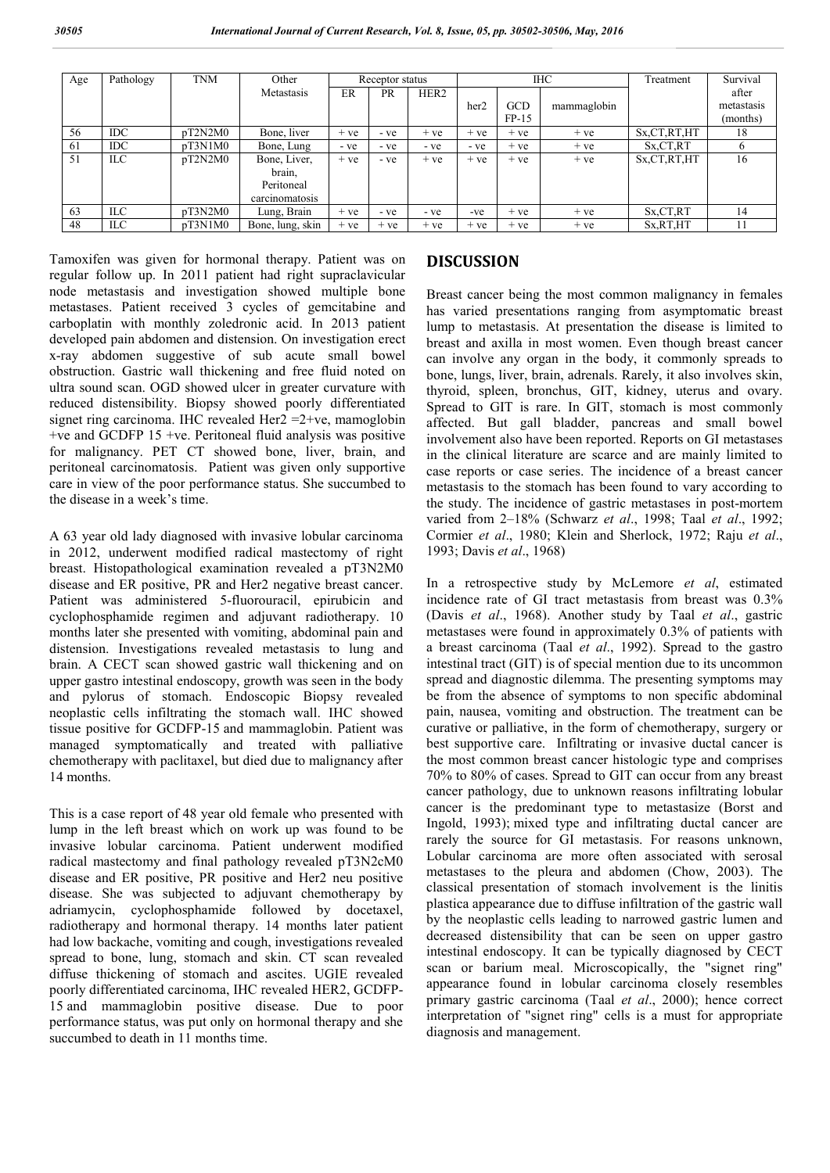| Age | Pathology  | <b>TNM</b> | Other            | Receptor status |           |                  | <b>IHC</b> |            |             | Treatment      | Survival   |
|-----|------------|------------|------------------|-----------------|-----------|------------------|------------|------------|-------------|----------------|------------|
|     |            |            | Metastasis       | ER              | <b>PR</b> | HER <sub>2</sub> |            |            |             |                | after      |
|     |            |            |                  |                 |           |                  | her2       | <b>GCD</b> | mammaglobin |                | metastasis |
|     |            |            |                  |                 |           |                  |            | $FP-15$    |             |                | (months)   |
| 56  | IDC.       | pT2N2M0    | Bone, liver      | $+ve$           | - ve      | $+ve$            | $+ve$      | $+ve$      | $+ve$       | Sx, CT, RT, HT | 18         |
| 61  | <b>IDC</b> | pT3N1M0    | Bone, Lung       | - ve            | - ve      | - ve             | - ve       | $+ve$      | $+ve$       | Sx,CT,RT       |            |
| 51  | ILC        | pT2N2M0    | Bone, Liver,     | $+ve$           | - ve      | $+ve$            | $+ve$      | $+ve$      | $+ve$       | Sx, CT, RT, HT | 16         |
|     |            |            | brain,           |                 |           |                  |            |            |             |                |            |
|     |            |            | Peritoneal       |                 |           |                  |            |            |             |                |            |
|     |            |            | carcinomatosis   |                 |           |                  |            |            |             |                |            |
| 63  | ILC.       | pT3N2M0    | Lung, Brain      | $+ve$           | - ve      | - ve             | $-ve$      | $+ve$      | $+ve$       | Sx,CT,RT       | 14         |
| 48  | ILC        | pT3N1M0    | Bone, lung, skin | $+ve$           | $+ve$     | $+ve$            | $+ve$      | $+ve$      | $+ve$       | Sx, RT, HT     | 11         |

Tamoxifen was given for hormonal therapy. Patient was on regular follow up. In 2011 patient had right supraclavicular node metastasis and investigation showed multiple bone metastases. Patient received 3 cycles of gemcitabine and carboplatin with monthly zoledronic acid. In 2013 patient developed pain abdomen and distension. On investigation erect x-ray abdomen suggestive of sub acute small bowel obstruction. Gastric wall thickening and free fluid noted on ultra sound scan. OGD showed ulcer in greater curvature with reduced distensibility. Biopsy showed poorly differentiated signet ring carcinoma. IHC revealed Her2 = 2+ve, mamoglobin +ve and GCDFP 15 +ve. Peritoneal fluid analysis was positive for malignancy. PET CT showed bone, liver, brain, and peritoneal carcinomatosis. Patient was given only supportive care in view of the poor performance status. She succumbed to the disease in a week's time.

A 63 year old lady diagnosed with invasive lobular carcinoma in 2012, underwent modified radical mastectomy of right breast. Histopathological examination revealed a pT3N2M0 disease and ER positive, PR and Her2 negative breast cancer. Patient was administered 5-fluorouracil, epirubicin and cyclophosphamide regimen and adjuvant radiotherapy. 10 months later she presented with vomiting, abdominal pain and distension. Investigations revealed metastasis to lung and brain. A CECT scan showed gastric wall thickening and on upper gastro intestinal endoscopy, growth was seen in the body and pylorus of stomach. Endoscopic Biopsy revealed neoplastic cells infiltrating the stomach wall. IHC showed tissue positive for GCDFP-15 and mammaglobin. Patient was managed symptomatically and treated with palliative chemotherapy with paclitaxel, but died due to malignancy after 14 months.

This is a case report of 48 year old female who presented with lump in the left breast which on work up was found to be invasive lobular carcinoma. Patient underwent modified radical mastectomy and final pathology revealed pT3N2cM0 disease and ER positive, PR positive and Her2 neu positive disease. She was subjected to adjuvant chemotherapy by adriamycin, cyclophosphamide followed by docetaxel, radiotherapy and hormonal therapy. 14 months later patient had low backache, vomiting and cough, investigations revealed spread to bone, lung, stomach and skin. CT scan revealed diffuse thickening of stomach and ascites. UGIE revealed poorly differentiated carcinoma, IHC revealed HER2, GCDFP-15 and mammaglobin positive disease. Due to poor performance status, was put only on hormonal therapy and she succumbed to death in 11 months time.

### **DISCUSSION**

Breast cancer being the most common malignancy in females has varied presentations ranging from asymptomatic breast lump to metastasis. At presentation the disease is limited to breast and axilla in most women. Even though breast cancer can involve any organ in the body, it commonly spreads to bone, lungs, liver, brain, adrenals. Rarely, it also involves skin, thyroid, spleen, bronchus, GIT, kidney, uterus and ovary. Spread to GIT is rare. In GIT, stomach is most commonly affected. But gall bladder, pancreas and small bowel involvement also have been reported. Reports on GI metastases in the clinical literature are scarce and are mainly limited to case reports or case series. The incidence of a breast cancer metastasis to the stomach has been found to vary according to the study. The incidence of gastric metastases in post-mortem varied from 2–18% (Schwarz *et al*., 1998; Taal *et al*., 1992; Cormier *et al*., 1980; Klein and Sherlock, 1972; Raju *et al*., 1993; Davis *et al*., 1968)

In a retrospective study by McLemore *et al*, estimated incidence rate of GI tract metastasis from breast was 0.3% (Davis *et al*., 1968). Another study by Taal *et al*., gastric metastases were found in approximately 0.3% of patients with a breast carcinoma (Taal *et al*., 1992). Spread to the gastro intestinal tract (GIT) is of special mention due to its uncommon spread and diagnostic dilemma. The presenting symptoms may be from the absence of symptoms to non specific abdominal pain, nausea, vomiting and obstruction. The treatment can be curative or palliative, in the form of chemotherapy, surgery or best supportive care. Infiltrating or invasive ductal cancer is the most common breast cancer histologic type and comprises 70% to 80% of cases. Spread to GIT can occur from any breast cancer pathology, due to unknown reasons infiltrating lobular cancer is the predominant type to metastasize (Borst and Ingold, 1993); mixed type and infiltrating ductal cancer are rarely the source for GI metastasis. For reasons unknown, Lobular carcinoma are more often associated with serosal metastases to the pleura and abdomen (Chow, 2003). The classical presentation of stomach involvement is the linitis plastica appearance due to diffuse infiltration of the gastric wall by the neoplastic cells leading to narrowed gastric lumen and decreased distensibility that can be seen on upper gastro intestinal endoscopy. It can be typically diagnosed by CECT scan or barium meal. Microscopically, the "signet ring" appearance found in lobular carcinoma closely resembles primary gastric carcinoma (Taal *et al*., 2000); hence correct interpretation of "signet ring" cells is a must for appropriate diagnosis and management.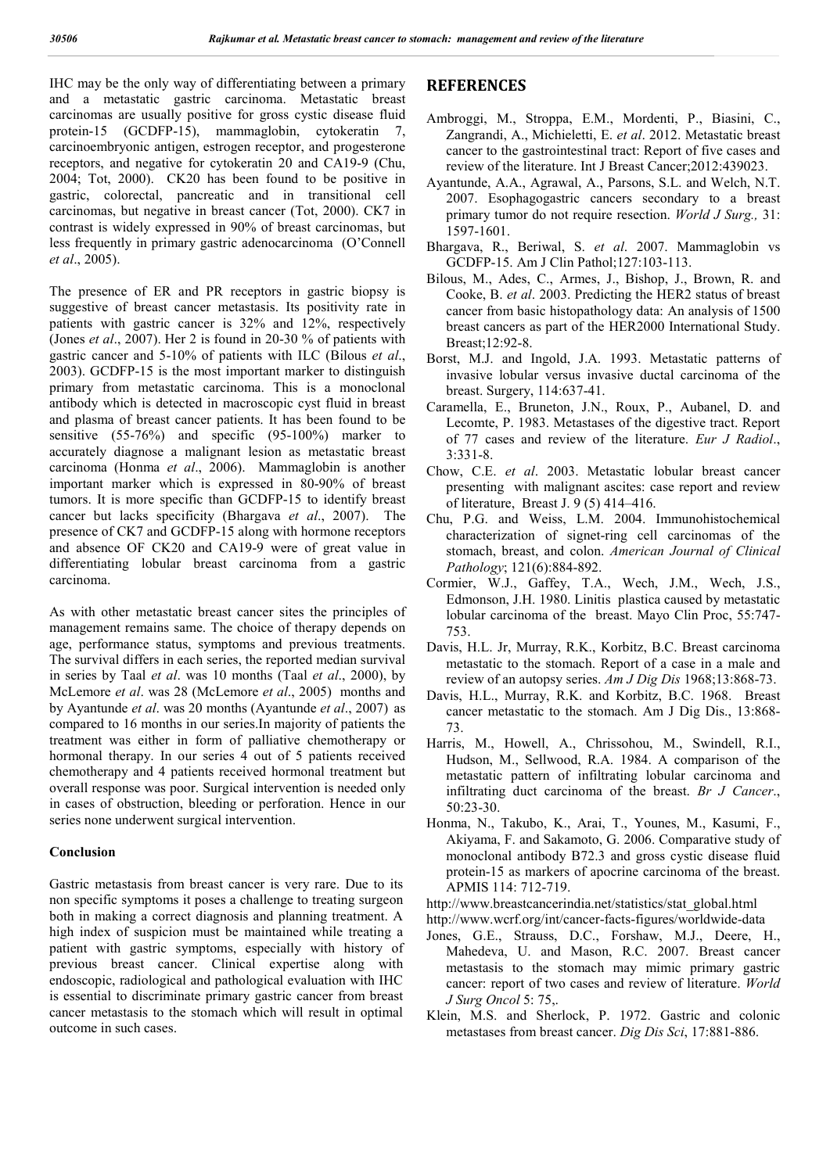IHC may be the only way of differentiating between a primary and a metastatic gastric carcinoma. Metastatic breast carcinomas are usually positive for gross cystic disease fluid protein-15 (GCDFP-15), mammaglobin, cytokeratin 7, carcinoembryonic antigen, estrogen receptor, and progesterone receptors, and negative for cytokeratin 20 and CA19-9 (Chu, 2004; Tot, 2000). CK20 has been found to be positive in gastric, colorectal, pancreatic and in transitional cell carcinomas, but negative in breast cancer (Tot, 2000). CK7 in contrast is widely expressed in 90% of breast carcinomas, but less frequently in primary gastric adenocarcinoma (O'Connell *et al*., 2005).

The presence of ER and PR receptors in gastric biopsy is suggestive of breast cancer metastasis. Its positivity rate in patients with gastric cancer is 32% and 12%, respectively (Jones *et al*., 2007). Her 2 is found in 20-30 % of patients with gastric cancer and 5-10% of patients with ILC (Bilous *et al*., 2003). GCDFP-15 is the most important marker to distinguish primary from metastatic carcinoma. This is a monoclonal antibody which is detected in macroscopic cyst fluid in breast and plasma of breast cancer patients. It has been found to be sensitive (55-76%) and specific (95-100%) marker to accurately diagnose a malignant lesion as metastatic breast carcinoma (Honma *et al*., 2006). Mammaglobin is another important marker which is expressed in 80-90% of breast tumors. It is more specific than GCDFP-15 to identify breast cancer but lacks specificity (Bhargava *et al*., 2007). The presence of CK7 and GCDFP-15 along with hormone receptors and absence OF CK20 and CA19-9 were of great value in differentiating lobular breast carcinoma from a gastric carcinoma.

As with other metastatic breast cancer sites the principles of management remains same. The choice of therapy depends on age, performance status, symptoms and previous treatments. The survival differs in each series, the reported median survival in series by Taal *et al*. was 10 months (Taal *et al*., 2000), by McLemore *et al*. was 28 (McLemore *et al*., 2005) months and by Ayantunde *et al*. was 20 months (Ayantunde *et al*., 2007) as compared to 16 months in our series.In majority of patients the treatment was either in form of palliative chemotherapy or hormonal therapy. In our series 4 out of 5 patients received chemotherapy and 4 patients received hormonal treatment but overall response was poor. Surgical intervention is needed only in cases of obstruction, bleeding or perforation. Hence in our series none underwent surgical intervention.

#### **Conclusion**

Gastric metastasis from breast cancer is very rare. Due to its non specific symptoms it poses a challenge to treating surgeon both in making a correct diagnosis and planning treatment. A high index of suspicion must be maintained while treating a patient with gastric symptoms, especially with history of previous breast cancer. Clinical expertise along with endoscopic, radiological and pathological evaluation with IHC is essential to discriminate primary gastric cancer from breast cancer metastasis to the stomach which will result in optimal outcome in such cases.

### **REFERENCES**

- Ambroggi, M., Stroppa, E.M., Mordenti, P., Biasini, C., Zangrandi, A., Michieletti, E. *et al*. 2012. Metastatic breast cancer to the gastrointestinal tract: Report of five cases and review of the literature. Int J Breast Cancer;2012:439023.
- Ayantunde, A.A., Agrawal, A., Parsons, S.L. and Welch, N.T. 2007. Esophagogastric cancers secondary to a breast primary tumor do not require resection. *World J Surg.,* 31: 1597-1601.
- Bhargava, R., Beriwal, S. *et al*. 2007. Mammaglobin vs GCDFP-15. Am J Clin Pathol;127:103-113.
- Bilous, M., Ades, C., Armes, J., Bishop, J., Brown, R. and Cooke, B. *et al*. 2003. Predicting the HER2 status of breast cancer from basic histopathology data: An analysis of 1500 breast cancers as part of the HER2000 International Study. Breast;12:92-8.
- Borst, M.J. and Ingold, J.A. 1993. Metastatic patterns of invasive lobular versus invasive ductal carcinoma of the breast. Surgery, 114:637-41.
- Caramella, E., Bruneton, J.N., Roux, P., Aubanel, D. and Lecomte, P. 1983. Metastases of the digestive tract. Report of 77 cases and review of the literature. *Eur J Radiol*., 3:331-8.
- Chow, C.E. *et al*. 2003. Metastatic lobular breast cancer presenting with malignant ascites: case report and review of literature, Breast J. 9 (5) 414–416.
- Chu, P.G. and Weiss, L.M. 2004. Immunohistochemical characterization of signet-ring cell carcinomas of the stomach, breast, and colon. *American Journal of Clinical Pathology*; 121(6):884-892.
- Cormier, W.J., Gaffey, T.A., Wech, J.M., Wech, J.S., Edmonson, J.H. 1980. Linitis plastica caused by metastatic lobular carcinoma of the breast. Mayo Clin Proc, 55:747- 753.
- Davis, H.L. Jr, Murray, R.K., Korbitz, B.C. Breast carcinoma metastatic to the stomach. Report of a case in a male and review of an autopsy series. *Am J Dig Dis* 1968;13:868-73.
- Davis, H.L., Murray, R.K. and Korbitz, B.C. 1968. Breast cancer metastatic to the stomach. Am J Dig Dis., 13:868- 73.
- Harris, M., Howell, A., Chrissohou, M., Swindell, R.I., Hudson, M., Sellwood, R.A. 1984. A comparison of the metastatic pattern of infiltrating lobular carcinoma and infiltrating duct carcinoma of the breast. *Br J Cancer*., 50:23-30.
- Honma, N., Takubo, K., Arai, T., Younes, M., Kasumi, F., Akiyama, F. and Sakamoto, G. 2006. Comparative study of monoclonal antibody B72.3 and gross cystic disease fluid protein-15 as markers of apocrine carcinoma of the breast. APMIS 114: 712-719.
- http://www.breastcancerindia.net/statistics/stat\_global.html
- http://www.wcrf.org/int/cancer-facts-figures/worldwide-data
- Jones, G.E., Strauss, D.C., Forshaw, M.J., Deere, H., Mahedeva, U. and Mason, R.C. 2007. Breast cancer metastasis to the stomach may mimic primary gastric cancer: report of two cases and review of literature. *World J Surg Oncol* 5: 75,.
- Klein, M.S. and Sherlock, P. 1972. Gastric and colonic metastases from breast cancer. *Dig Dis Sci*, 17:881-886.